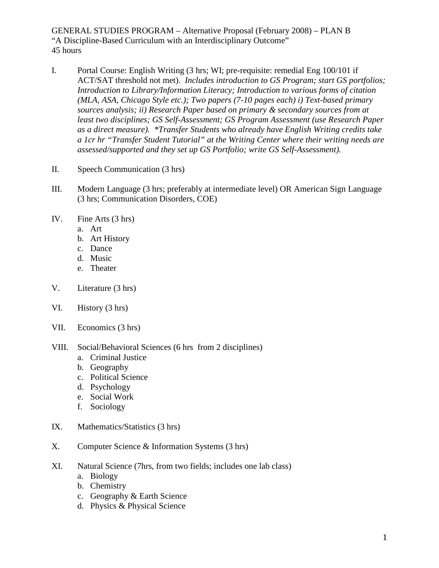GENERAL STUDIES PROGRAM – Alternative Proposal (February 2008) – PLAN B "A Discipline-Based Curriculum with an Interdisciplinary Outcome" 45 hours

- I. Portal Course: English Writing (3 hrs; WI; pre-requisite: remedial Eng 100/101 if ACT/SAT threshold not met). *Includes introduction to GS Program; start GS portfolios; Introduction to Library/Information Literacy; Introduction to various forms of citation (MLA, ASA, Chicago Style etc.); Two papers (7-10 pages each) i) Text-based primary sources analysis; ii) Research Paper based on primary & secondary sources from at least two disciplines; GS Self-Assessment; GS Program Assessment (use Research Paper as a direct measure). \*Transfer Students who already have English Writing credits take a 1cr hr "Transfer Student Tutorial" at the Writing Center where their writing needs are assessed/supported and they set up GS Portfolio; write GS Self-Assessment).*
- II. Speech Communication (3 hrs)
- III. Modern Language (3 hrs; preferably at intermediate level) OR American Sign Language (3 hrs; Communication Disorders, COE)
- IV. Fine Arts (3 hrs)
	- a. Art
	- b. Art History
	- c. Dance
	- d. Music
	- e. Theater
- V. Literature (3 hrs)
- VI. History (3 hrs)
- VII. Economics (3 hrs)
- VIII. Social/Behavioral Sciences (6 hrs from 2 disciplines)
	- a. Criminal Justice
	- b. Geography
	- c. Political Science
	- d. Psychology
	- e. Social Work
	- f. Sociology
- IX. Mathematics/Statistics (3 hrs)
- X. Computer Science & Information Systems (3 hrs)
- XI. Natural Science (7hrs, from two fields; includes one lab class)
	- a. Biology
	- b. Chemistry
	- c. Geography & Earth Science
	- d. Physics & Physical Science